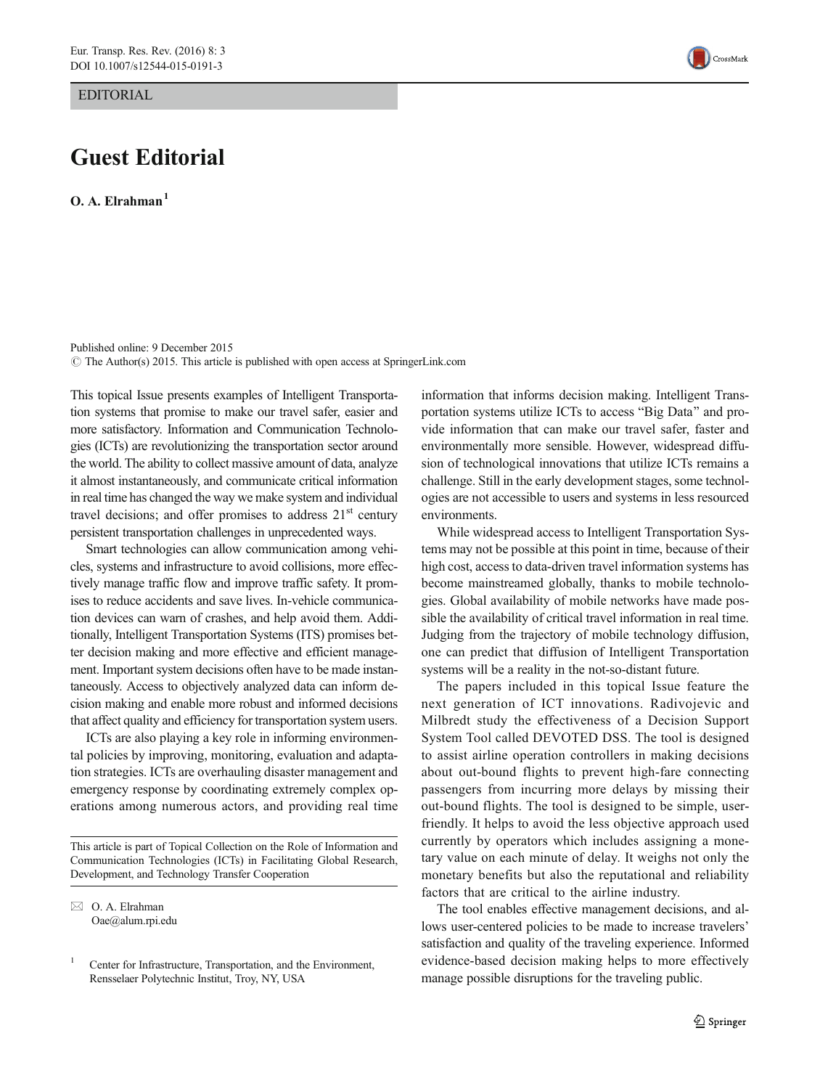EDITORIAL

## Guest Editorial

 $O$  A. Elrahman<sup>1</sup>

Published online: 9 December 2015  $\odot$  The Author(s) 2015. This article is published with open access at SpringerLink.com

This topical Issue presents examples of Intelligent Transportation systems that promise to make our travel safer, easier and more satisfactory. Information and Communication Technologies (ICTs) are revolutionizing the transportation sector around the world. The ability to collect massive amount of data, analyze it almost instantaneously, and communicate critical information in real time has changed the way we make system and individual travel decisions; and offer promises to address  $21<sup>st</sup>$  century persistent transportation challenges in unprecedented ways.

Smart technologies can allow communication among vehicles, systems and infrastructure to avoid collisions, more effectively manage traffic flow and improve traffic safety. It promises to reduce accidents and save lives. In-vehicle communication devices can warn of crashes, and help avoid them. Additionally, Intelligent Transportation Systems (ITS) promises better decision making and more effective and efficient management. Important system decisions often have to be made instantaneously. Access to objectively analyzed data can inform decision making and enable more robust and informed decisions that affect quality and efficiency for transportation system users.

ICTs are also playing a key role in informing environmental policies by improving, monitoring, evaluation and adaptation strategies. ICTs are overhauling disaster management and emergency response by coordinating extremely complex operations among numerous actors, and providing real time

This article is part of Topical Collection on the Role of Information and Communication Technologies (ICTs) in Facilitating Global Research, Development, and Technology Transfer Cooperation

information that informs decision making. Intelligent Transportation systems utilize ICTs to access "Big Data" and provide information that can make our travel safer, faster and environmentally more sensible. However, widespread diffusion of technological innovations that utilize ICTs remains a challenge. Still in the early development stages, some technologies are not accessible to users and systems in less resourced environments.

While widespread access to Intelligent Transportation Systems may not be possible at this point in time, because of their high cost, access to data-driven travel information systems has become mainstreamed globally, thanks to mobile technologies. Global availability of mobile networks have made possible the availability of critical travel information in real time. Judging from the trajectory of mobile technology diffusion, one can predict that diffusion of Intelligent Transportation systems will be a reality in the not-so-distant future.

The papers included in this topical Issue feature the next generation of ICT innovations. Radivojevic and Milbredt study the effectiveness of a Decision Support System Tool called DEVOTED DSS. The tool is designed to assist airline operation controllers in making decisions about out-bound flights to prevent high-fare connecting passengers from incurring more delays by missing their out-bound flights. The tool is designed to be simple, userfriendly. It helps to avoid the less objective approach used currently by operators which includes assigning a monetary value on each minute of delay. It weighs not only the monetary benefits but also the reputational and reliability factors that are critical to the airline industry.

The tool enables effective management decisions, and allows user-centered policies to be made to increase travelers' satisfaction and quality of the traveling experience. Informed evidence-based decision making helps to more effectively manage possible disruptions for the traveling public.



 $\boxtimes$  O. A. Elrahman Oae@alum.rpi.edu

<sup>&</sup>lt;sup>1</sup> Center for Infrastructure, Transportation, and the Environment, Rensselaer Polytechnic Institut, Troy, NY, USA